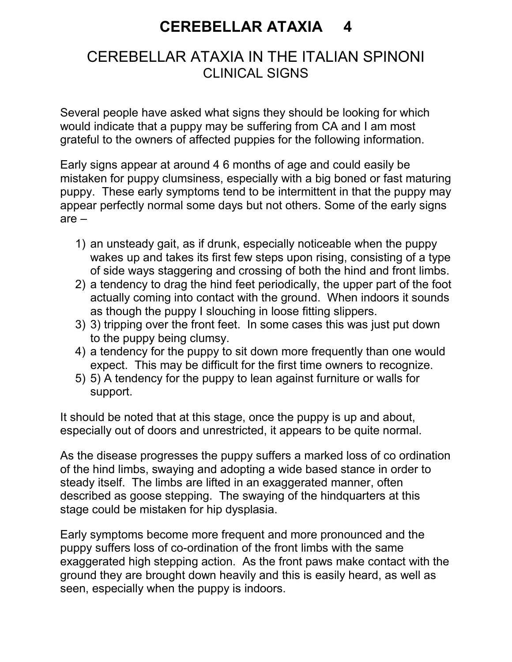## CEREBELLAR ATAXIA 4

## CEREBELLAR ATAXIA IN THE ITALIAN SPINONI CLINICAL SIGNS

Several people have asked what signs they should be looking for which would indicate that a puppy may be suffering from CA and I am most grateful to the owners of affected puppies for the following information.

Early signs appear at around 4 6 months of age and could easily be mistaken for puppy clumsiness, especially with a big boned or fast maturing puppy. These early symptoms tend to be intermittent in that the puppy may appear perfectly normal some days but not others. Some of the early signs are –

- 1) an unsteady gait, as if drunk, especially noticeable when the puppy wakes up and takes its first few steps upon rising, consisting of a type of side ways staggering and crossing of both the hind and front limbs.
- 2) a tendency to drag the hind feet periodically, the upper part of the foot actually coming into contact with the ground. When indoors it sounds as though the puppy I slouching in loose fitting slippers.
- 3) 3) tripping over the front feet. In some cases this was just put down to the puppy being clumsy.
- 4) a tendency for the puppy to sit down more frequently than one would expect. This may be difficult for the first time owners to recognize.
- 5) 5) A tendency for the puppy to lean against furniture or walls for support.

It should be noted that at this stage, once the puppy is up and about, especially out of doors and unrestricted, it appears to be quite normal.

As the disease progresses the puppy suffers a marked loss of co ordination of the hind limbs, swaying and adopting a wide based stance in order to steady itself. The limbs are lifted in an exaggerated manner, often described as goose stepping. The swaying of the hindquarters at this stage could be mistaken for hip dysplasia.

Early symptoms become more frequent and more pronounced and the puppy suffers loss of co-ordination of the front limbs with the same exaggerated high stepping action. As the front paws make contact with the ground they are brought down heavily and this is easily heard, as well as seen, especially when the puppy is indoors.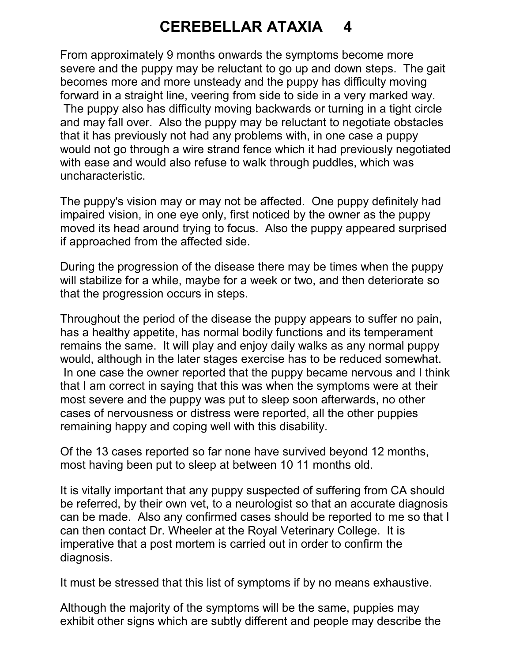## CEREBELLAR ATAXIA 4

From approximately 9 months onwards the symptoms become more severe and the puppy may be reluctant to go up and down steps. The gait becomes more and more unsteady and the puppy has difficulty moving forward in a straight line, veering from side to side in a very marked way. The puppy also has difficulty moving backwards or turning in a tight circle and may fall over. Also the puppy may be reluctant to negotiate obstacles that it has previously not had any problems with, in one case a puppy would not go through a wire strand fence which it had previously negotiated with ease and would also refuse to walk through puddles, which was uncharacteristic.

The puppy's vision may or may not be affected. One puppy definitely had impaired vision, in one eye only, first noticed by the owner as the puppy moved its head around trying to focus. Also the puppy appeared surprised if approached from the affected side.

During the progression of the disease there may be times when the puppy will stabilize for a while, maybe for a week or two, and then deteriorate so that the progression occurs in steps.

Throughout the period of the disease the puppy appears to suffer no pain, has a healthy appetite, has normal bodily functions and its temperament remains the same. It will play and enjoy daily walks as any normal puppy would, although in the later stages exercise has to be reduced somewhat. In one case the owner reported that the puppy became nervous and I think that I am correct in saying that this was when the symptoms were at their most severe and the puppy was put to sleep soon afterwards, no other cases of nervousness or distress were reported, all the other puppies remaining happy and coping well with this disability.

Of the 13 cases reported so far none have survived beyond 12 months, most having been put to sleep at between 10 11 months old.

It is vitally important that any puppy suspected of suffering from CA should be referred, by their own vet, to a neurologist so that an accurate diagnosis can be made. Also any confirmed cases should be reported to me so that I can then contact Dr. Wheeler at the Royal Veterinary College. It is imperative that a post mortem is carried out in order to confirm the diagnosis.

It must be stressed that this list of symptoms if by no means exhaustive.

Although the majority of the symptoms will be the same, puppies may exhibit other signs which are subtly different and people may describe the